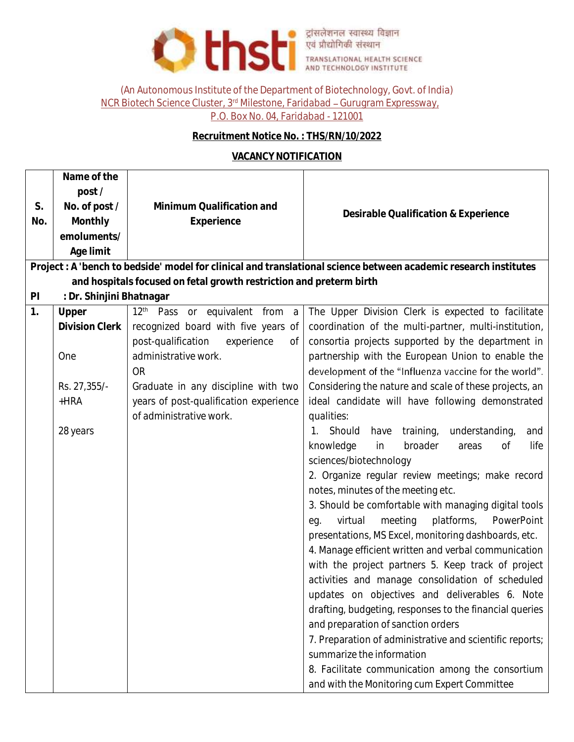

(An Autonomous Institute of the Department of Biotechnology, Govt. of India) NCR Biotech Science Cluster, 3<sup>rd</sup> Milestone, Faridabad - Gurugram Expressway,

P.O. Box No. 04, Faridabad - 121001

## **Recruitment Notice No. : THS/RN/10/2022**

## **VACANCY NOTIFICATION**

|                                                                                                                 | Name of the                   |                                               |                                                          |  |  |
|-----------------------------------------------------------------------------------------------------------------|-------------------------------|-----------------------------------------------|----------------------------------------------------------|--|--|
|                                                                                                                 | post/                         |                                               |                                                          |  |  |
| S.                                                                                                              | No. of post /                 | Minimum Qualification and                     | Desirable Qualification & Experience                     |  |  |
| No.                                                                                                             | Monthly                       | Experience                                    |                                                          |  |  |
|                                                                                                                 | emoluments/                   |                                               |                                                          |  |  |
|                                                                                                                 | Age limit                     |                                               |                                                          |  |  |
| Project: A 'bench to bedside' model for clinical and translational science between academic research institutes |                               |                                               |                                                          |  |  |
| and hospitals focused on fetal growth restriction and preterm birth                                             |                               |                                               |                                                          |  |  |
|                                                                                                                 | : Dr. Shinjini Bhatnagar<br>P |                                               |                                                          |  |  |
| 1.                                                                                                              | Upper                         | 12 <sup>th</sup> Pass or equivalent from a    | The Upper Division Clerk is expected to facilitate       |  |  |
|                                                                                                                 | Division Clerk                | recognized board with five years of           | coordination of the multi-partner, multi-institution,    |  |  |
|                                                                                                                 |                               | post-qualification<br>experience<br><b>of</b> | consortia projects supported by the department in        |  |  |
|                                                                                                                 | One                           | administrative work.                          | partnership with the European Union to enable the        |  |  |
|                                                                                                                 |                               | <b>OR</b>                                     | development of the "Influenza vaccine for the world".    |  |  |
|                                                                                                                 | Rs. 27,355/-                  | Graduate in any discipline with two           | Considering the nature and scale of these projects, an   |  |  |
|                                                                                                                 | $+HRA$                        | years of post-qualification experience        | ideal candidate will have following demonstrated         |  |  |
|                                                                                                                 |                               | of administrative work.                       | qualities:                                               |  |  |
|                                                                                                                 | 28 years                      |                                               | 1. Should<br>training,<br>understanding,<br>have<br>and  |  |  |
|                                                                                                                 |                               |                                               | knowledge<br>in<br>broader<br>life<br><b>of</b><br>areas |  |  |
|                                                                                                                 |                               |                                               | sciences/biotechnology                                   |  |  |
|                                                                                                                 |                               |                                               | 2. Organize regular review meetings; make record         |  |  |
|                                                                                                                 |                               |                                               | notes, minutes of the meeting etc.                       |  |  |
|                                                                                                                 |                               |                                               | 3. Should be comfortable with managing digital tools     |  |  |
|                                                                                                                 |                               |                                               | platforms,<br>PowerPoint<br>virtual<br>meeting<br>eg.    |  |  |
|                                                                                                                 |                               |                                               | presentations, MS Excel, monitoring dashboards, etc.     |  |  |
|                                                                                                                 |                               |                                               | 4. Manage efficient written and verbal communication     |  |  |
|                                                                                                                 |                               |                                               | with the project partners 5. Keep track of project       |  |  |
|                                                                                                                 |                               |                                               | activities and manage consolidation of scheduled         |  |  |
|                                                                                                                 |                               |                                               | updates on objectives and deliverables 6. Note           |  |  |
|                                                                                                                 |                               |                                               | drafting, budgeting, responses to the financial queries  |  |  |
|                                                                                                                 |                               |                                               | and preparation of sanction orders                       |  |  |
|                                                                                                                 |                               |                                               | 7. Preparation of administrative and scientific reports; |  |  |
|                                                                                                                 |                               |                                               | summarize the information                                |  |  |
|                                                                                                                 |                               |                                               | 8. Facilitate communication among the consortium         |  |  |
|                                                                                                                 |                               |                                               | and with the Monitoring cum Expert Committee             |  |  |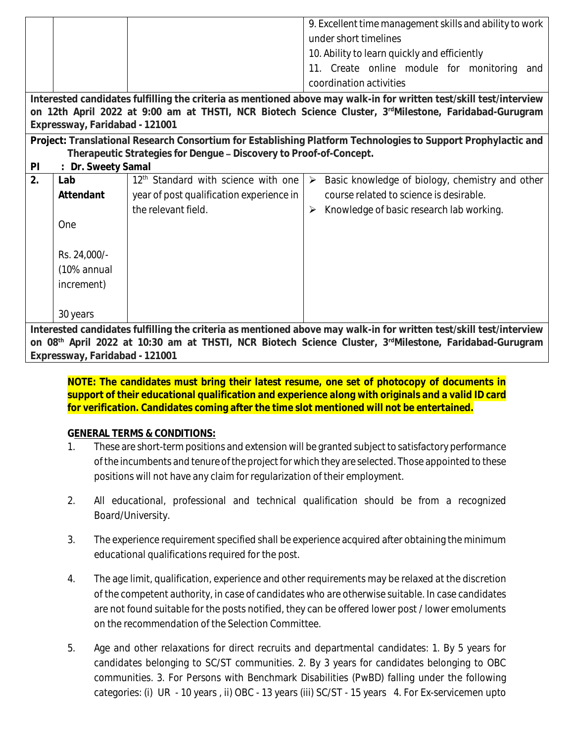|                                                                                                                    |                  |                                                 | 9. Excellent time management skills and ability to work                  |  |  |
|--------------------------------------------------------------------------------------------------------------------|------------------|-------------------------------------------------|--------------------------------------------------------------------------|--|--|
|                                                                                                                    |                  |                                                 | under short timelines                                                    |  |  |
|                                                                                                                    |                  |                                                 | 10. Ability to learn quickly and efficiently                             |  |  |
|                                                                                                                    |                  |                                                 | 11. Create online module for monitoring and                              |  |  |
|                                                                                                                    |                  |                                                 | coordination activities                                                  |  |  |
| Interested candidates fulfilling the criteria as mentioned above may walk-in for written test/skill test/interview |                  |                                                 |                                                                          |  |  |
| on 12th April 2022 at 9:00 am at THSTI, NCR Biotech Science Cluster, 3rdMilestone, Faridabad-Gurugram              |                  |                                                 |                                                                          |  |  |
| Expressway, Faridabad - 121001                                                                                     |                  |                                                 |                                                                          |  |  |
| Project: Translational Research Consortium for Establishing Platform Technologies to Support Prophylactic and      |                  |                                                 |                                                                          |  |  |
| Therapeutic Strategies for Dengue - Discovery to Proof-of-Concept.                                                 |                  |                                                 |                                                                          |  |  |
| $\mathsf{P}$                                                                                                       | Dr. Sweety Samal |                                                 |                                                                          |  |  |
| 2.                                                                                                                 | Lab              | 12 <sup>th</sup> Standard with science with one | Basic knowledge of biology, chemistry and other<br>$\blacktriangleright$ |  |  |
|                                                                                                                    | Attendant        | year of post qualification experience in        | course related to science is desirable.                                  |  |  |
|                                                                                                                    |                  | the relevant field.                             | Knowledge of basic research lab working.<br>➤                            |  |  |
|                                                                                                                    | One              |                                                 |                                                                          |  |  |
|                                                                                                                    |                  |                                                 |                                                                          |  |  |
|                                                                                                                    | Rs. 24,000/-     |                                                 |                                                                          |  |  |
|                                                                                                                    | (10% annual      |                                                 |                                                                          |  |  |
|                                                                                                                    | increment)       |                                                 |                                                                          |  |  |
|                                                                                                                    |                  |                                                 |                                                                          |  |  |
|                                                                                                                    | 30 years         |                                                 |                                                                          |  |  |
|                                                                                                                    |                  |                                                 |                                                                          |  |  |
| Interested candidates fulfilling the criteria as mentioned above may walk-in for written test/skill test/interview |                  |                                                 |                                                                          |  |  |
| on 08th April 2022 at 10:30 am at THSTI, NCR Biotech Science Cluster, 3rdMilestone, Faridabad-Gurugram             |                  |                                                 |                                                                          |  |  |

**Expressway, Faridabad - 121001**

**NOTE: The candidates must bring their latest resume, one set of photocopy of documents in support of their educational qualification and experience along with originals and a valid ID card for verification. Candidates coming after the time slot mentioned will not be entertained.**

## **GENERAL TERMS & CONDITIONS:**

- 1. These are short-term positions and extension will be granted subject to satisfactory performance of the incumbents and tenure of the project for which they are selected. Those appointed to these positions will not have any claim for regularization of their employment.
- 2. All educational, professional and technical qualification should be from a recognized Board/University.
- 3. The experience requirement specified shall be experience acquired after obtaining the minimum educational qualifications required for the post.
- 4. The age limit, qualification, experience and other requirements may be relaxed at the discretion of the competent authority, in case of candidates who are otherwise suitable. In case candidates are not found suitable for the posts notified, they can be offered lower post / lower emoluments on the recommendation of the Selection Committee.
- 5. Age and other relaxations for direct recruits and departmental candidates: 1. By 5 years for candidates belonging to SC/ST communities. 2. By 3 years for candidates belonging to OBC communities. 3. For Persons with Benchmark Disabilities (PwBD) falling under the following categories: (i) UR - 10 years , ii) OBC - 13 years (iii) SC/ST - 15 years 4. For Ex-servicemen upto